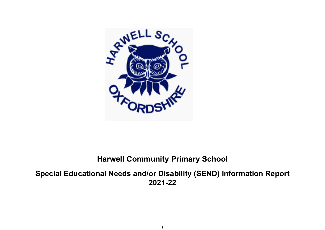

# **Harwell Community Primary School**

**Special Educational Needs and/or Disability (SEND) Information Report 2021-22**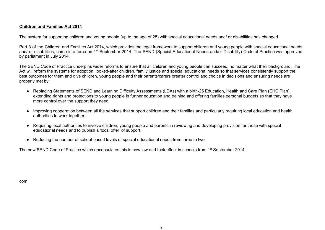#### **Children and Families Act 2014**

The system for supporting children and young people (up to the age of 25) with special educational needs and/ or disabilities has changed.

Part 3 of the Children and Families Act 2014, which provides the legal framework to support children and young people with special educational needs and/ or disabilities, came into force on 1<sup>st</sup> September 2014. The SEND (Special Educational Needs and/or Disability) Code of Practice was approved by parliament in July 2014.

The SEND Code of Practice underpins wider reforms to ensure that all children and young people can succeed, no matter what their background. The Act will reform the systems for adoption, looked-after children, family justice and special educational needs so that services consistently support the best outcomes for them and give children, young people and their parents/carers greater control and choice in decisions and ensuring needs are properly met by:

- Replacing Statements of SEND and Learning Difficulty Assessments (LDAs) with a birth-25 Education, Health and Care Plan (EHC Plan), extending rights and protections to young people in further education and training and offering families personal budgets so that they have more control over the support they need;
- Improving cooperation between all the services that support children and their families and particularly requiring local education and health authorities to work together;
- Requiring local authorities to involve children, young people and parents in reviewing and developing provision for those with special educational needs and to publish a 'local offer' of support.
- Reducing the number of school-based levels of special educational needs from three to two.

The new SEND Code of Practice which encapsulates this is now law and took effect in schools from 1<sup>st</sup> September 2014.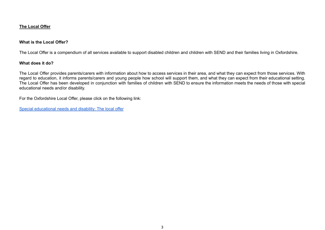#### **The Local Offer**

#### **What is the Local Offer?**

The Local Offer is a compendium of all services available to support disabled children and children with SEND and their families living in Oxfordshire.

#### **What does it do?**

The Local Offer provides parents/carers with information about how to access services in their area, and what they can expect from those services. With regard to education, it informs parents/carers and young people how school will support them, and what they can expect from their educational setting. The Local Offer has been developed in conjunction with families of children with SEND to ensure the information meets the needs of those with special educational needs and/or disability.

For the Oxfordshire Local Offer, please click on the following link:

Special [educational](https://www.oxfordshire.gov.uk/residents/children-education-and-families/education-and-learning/special-educational-needs-and-disability-local-offer) needs and disability: The local offer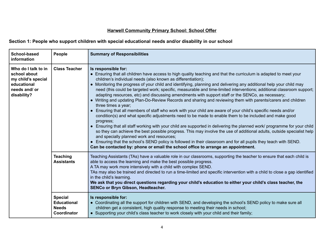## **Harwell Community Primary School: School Offer**

## **Section 1: People who support children with special educational needs and/or disability in our school**

| School-based<br>information                                                                              | People                                                              | <b>Summary of Responsibilities</b>                                                                                                                                                                                                                                                                                                                                                                                                                                                                                                                                                                                                                                                                                                                                                                                                                                                                                                                                                                                                                                                                                                                                                                                                                                                                                                                                                                                                                       |
|----------------------------------------------------------------------------------------------------------|---------------------------------------------------------------------|----------------------------------------------------------------------------------------------------------------------------------------------------------------------------------------------------------------------------------------------------------------------------------------------------------------------------------------------------------------------------------------------------------------------------------------------------------------------------------------------------------------------------------------------------------------------------------------------------------------------------------------------------------------------------------------------------------------------------------------------------------------------------------------------------------------------------------------------------------------------------------------------------------------------------------------------------------------------------------------------------------------------------------------------------------------------------------------------------------------------------------------------------------------------------------------------------------------------------------------------------------------------------------------------------------------------------------------------------------------------------------------------------------------------------------------------------------|
| Who do I talk to in<br>school about<br>my child's special<br>educational<br>needs and/ or<br>disability? | <b>Class Teacher</b>                                                | Is responsible for:<br>• Ensuring that all children have access to high quality teaching and that the curriculum is adapted to meet your<br>children's individual needs (also known as differentiation);<br>• Monitoring the progress of your child and identifying, planning and delivering any additional help your child may<br>need (this could be targeted work; specific, measurable and time-limited interventions; additional classroom support;<br>adapting resources, etc) and discussing amendments with support staff or the SENCo, as necessary;<br>• Writing and updating Plan-Do-Review Records and sharing and reviewing them with parents/carers and children<br>three times a year;<br>• Ensuring that all members of staff who work with your child are aware of your child's specific needs and/or<br>condition(s) and what specific adjustments need to be made to enable them to be included and make good<br>progress;<br>• Ensuring that all staff working with your child are supported in delivering the planned work/ programme for your child<br>so they can achieve the best possible progress. This may involve the use of additional adults, outside specialist help<br>and specially planned work and resources;<br>• Ensuring that the school's SEND policy is followed in their classroom and for all pupils they teach with SEND.<br>Can be contacted by: phone or email the school office to arrange an appointment. |
|                                                                                                          | <b>Teaching</b><br><b>Assistants</b>                                | Teaching Assistants (TAs) have a valuable role in our classrooms, supporting the teacher to ensure that each child is<br>able to access the learning and make the best possible progress.<br>A TA may work more intensively with a child with complex SEND.<br>TAs may also be trained and directed to run a time-limited and specific intervention with a child to close a gap identified<br>in the child's learning.<br>We ask that you direct questions regarding your child's education to either your child's class teacher, the<br><b>SENCo or Bryn Gibson, Headteacher.</b>                                                                                                                                                                                                                                                                                                                                                                                                                                                                                                                                                                                                                                                                                                                                                                                                                                                                       |
|                                                                                                          | <b>Special</b><br><b>Educational</b><br><b>Needs</b><br>Coordinator | Is responsible for:<br>• Coordinating all the support for children with SEND, and developing the school's SEND policy to make sure all<br>children get a consistent, high quality response to meeting their needs in school;<br>• Supporting your child's class teacher to work closely with your child and their family;                                                                                                                                                                                                                                                                                                                                                                                                                                                                                                                                                                                                                                                                                                                                                                                                                                                                                                                                                                                                                                                                                                                                |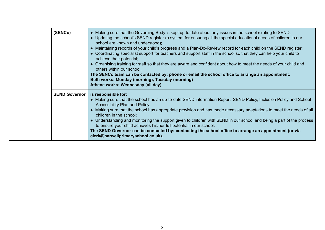| (SENCo)              | • Making sure that the Governing Body is kept up to date about any issues in the school relating to SEND;<br>• Updating the school's SEND register (a system for ensuring all the special educational needs of children in our<br>school are known and understood);<br>• Maintaining records of your child's progress and a Plan-Do-Review record for each child on the SEND register;<br>• Coordinating specialist support for teachers and support staff in the school so that they can help your child to<br>achieve their potential;<br>• Organising training for staff so that they are aware and confident about how to meet the needs of your child and<br>others within our school.<br>The SENCo team can be contacted by: phone or email the school office to arrange an appointment.<br>Beth works: Monday (morning), Tuesday (morning)<br>Athene works: Wednesday (all day) |
|----------------------|----------------------------------------------------------------------------------------------------------------------------------------------------------------------------------------------------------------------------------------------------------------------------------------------------------------------------------------------------------------------------------------------------------------------------------------------------------------------------------------------------------------------------------------------------------------------------------------------------------------------------------------------------------------------------------------------------------------------------------------------------------------------------------------------------------------------------------------------------------------------------------------|
| <b>SEND Governor</b> | is responsible for:<br>• Making sure that the school has an up-to-date SEND information Report, SEND Policy, Inclusion Policy and School<br>Accessibility Plan and Policy;<br>• Making sure that the school has appropriate provision and has made necessary adaptations to meet the needs of all<br>children in the school;<br>• Understanding and monitoring the support given to children with SEND in our school and being a part of the process<br>to ensure your child achieves his/her full potential in our school.<br>The SEND Governor can be contacted by: contacting the school office to arrange an appointment (or via<br>clerk@harwellprimaryschool.co.uk).                                                                                                                                                                                                             |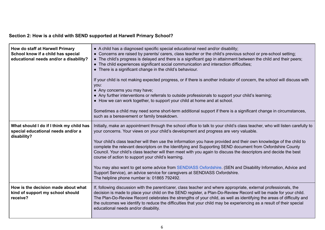## **Section 2: How is a child with SEND supported at Harwell Primary School?**

| How do staff at Harwell Primary<br>School know if a child has special<br>educational needs and/or a disability? | • A child has a diagnosed specific special educational need and/or disability;<br>• Concerns are raised by parents/ carers, class teacher or the child's previous school or pre-school setting;<br>• The child's progress is delayed and there is a significant gap in attainment between the child and their peers;<br>• The child experiences significant social communication and interaction difficulties;<br>• There is a significant change in the child's behaviour.<br>If your child is not making expected progress, or if there is another indicator of concern, the school will discuss with<br>you:<br>• Any concerns you may have;<br>• Any further interventions or referrals to outside professionals to support your child's learning;<br>• How we can work together, to support your child at home and at school.<br>Sometimes a child may need some short-term additional support if there is a significant change in circumstances,<br>such as a bereavement or family breakdown. |
|-----------------------------------------------------------------------------------------------------------------|------------------------------------------------------------------------------------------------------------------------------------------------------------------------------------------------------------------------------------------------------------------------------------------------------------------------------------------------------------------------------------------------------------------------------------------------------------------------------------------------------------------------------------------------------------------------------------------------------------------------------------------------------------------------------------------------------------------------------------------------------------------------------------------------------------------------------------------------------------------------------------------------------------------------------------------------------------------------------------------------------|
| What should I do if I think my child has<br>special educational needs and/or a<br>disability?                   | Initially, make an appointment through the school office to talk to your child's class teacher, who will listen carefully to<br>your concerns. Your views on your child's development and progress are very valuable.<br>Your child's class teacher will then use the information you have provided and their own knowledge of the child to<br>complete the relevant descriptors on the Identifying and Supporting SEND document from Oxfordshire County<br>Council. Your child's class teacher will then meet with you again to discuss the descriptors and decide the best<br>course of action to support your child's learning.<br>You may also want to get some advice from SENDIASS Oxfordshire. (SEN and Disability Information, Advice and<br>Support Service), an advice service for caregivers at SENDIASS Oxfordshire.<br>The helpline phone number is: 01865 792492.                                                                                                                      |
| How is the decision made about what<br>kind of support my school should<br>receive?                             | If, following discussion with the parent/carer, class teacher and where appropriate, external professionals, the<br>decision is made to place your child on the SEND register, a Plan-Do-Review Record will be made for your child.<br>The Plan-Do-Review Record celebrates the strengths of your child, as well as identifying the areas of difficulty and<br>the outcomes we identify to reduce the difficulties that your child may be experiencing as a result of their special<br>educational needs and/or disability.                                                                                                                                                                                                                                                                                                                                                                                                                                                                          |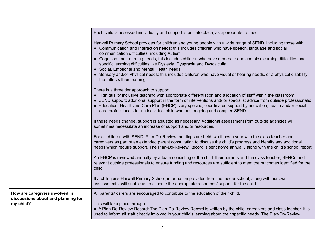|                                                                                   | Each child is assessed individually and support is put into place, as appropriate to need.                                                                                                                                                                                                                                                                                                                                                                                                                                                                                                                                                                                |
|-----------------------------------------------------------------------------------|---------------------------------------------------------------------------------------------------------------------------------------------------------------------------------------------------------------------------------------------------------------------------------------------------------------------------------------------------------------------------------------------------------------------------------------------------------------------------------------------------------------------------------------------------------------------------------------------------------------------------------------------------------------------------|
|                                                                                   | Harwell Primary School provides for children and young people with a wide range of SEND, including those with:<br>• Communication and Interaction needs; this includes children who have speech, language and social<br>communication difficulties, including Autism.<br>• Cognition and Learning needs; this includes children who have moderate and complex learning difficulties and<br>specific learning difficulties like Dyslexia, Dyspraxia and Dyscalculia.<br>• Social, Emotional and Mental Health needs.<br>• Sensory and/or Physical needs; this includes children who have visual or hearing needs, or a physical disability<br>that affects their learning. |
|                                                                                   | There is a three tier approach to support:<br>• High quality inclusive teaching with appropriate differentiation and allocation of staff within the classroom;<br>• SEND support: additional support in the form of interventions and/ or specialist advice from outside professionals;<br>• Education, Health and Care Plan (EHCP): very specific, coordinated support by education, health and/or social<br>care professionals for an individual child who has ongoing and complex SEND.                                                                                                                                                                                |
|                                                                                   | If these needs change, support is adjusted as necessary. Additional assessment from outside agencies will<br>sometimes necessitate an increase of support and/or resources.                                                                                                                                                                                                                                                                                                                                                                                                                                                                                               |
|                                                                                   | For all children with SEND, Plan-Do-Review meetings are held two times a year with the class teacher and<br>caregivers as part of an extended parent consultation to discuss the child's progress and identify any additional<br>needs which require support. The Plan-Do-Review Record is sent home annually along with the child's school report.                                                                                                                                                                                                                                                                                                                       |
|                                                                                   | An EHCP is reviewed annually by a team consisting of the child, their parents and the class teacher, SENCo and<br>relevant outside professionals to ensure funding and resources are sufficient to meet the outcomes identified for the<br>child.                                                                                                                                                                                                                                                                                                                                                                                                                         |
|                                                                                   | If a child joins Harwell Primary School, information provided from the feeder school, along with our own<br>assessments, will enable us to allocate the appropriate resources/ support for the child.                                                                                                                                                                                                                                                                                                                                                                                                                                                                     |
| How are caregivers involved in<br>discussions about and planning for<br>my child? | All parents/ carers are encouraged to contribute to the education of their child.<br>This will take place through:<br>• A Plan-Do-Review Record: The Plan-Do-Review Record is written by the child, caregivers and class teacher. It is                                                                                                                                                                                                                                                                                                                                                                                                                                   |
|                                                                                   | used to inform all staff directly involved in your child's learning about their specific needs. The Plan-Do-Review                                                                                                                                                                                                                                                                                                                                                                                                                                                                                                                                                        |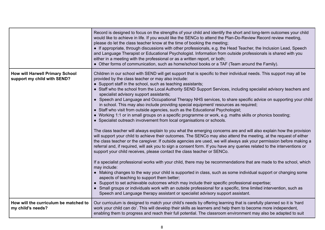|                                                                       | Record is designed to focus on the strengths of your child and identify the short and long-term outcomes your child<br>would like to achieve in life. If you would like the SENCo to attend the Plan-Do-Review Record review meeting,<br>please do let the class teacher know at the time of booking the meeting;<br>• If appropriate, through discussions with other professionals, e.g. the Head Teacher, the Inclusion Lead, Speech<br>and Language Therapist or Educational Psychologist. Information from outside professionals is shared with you<br>either in a meeting with the professional or as a written report, or both;<br>• Other forms of communication, such as home/school books or a TAF (Team around the Family).                                                                                                                                                                                                                                                                                                                                                                                                                                                                                                                                                                                                                                                                                                                                                                                                                                                                                                                                                                                                                                                                                                                                                                                                                                                                                                                                                     |
|-----------------------------------------------------------------------|-------------------------------------------------------------------------------------------------------------------------------------------------------------------------------------------------------------------------------------------------------------------------------------------------------------------------------------------------------------------------------------------------------------------------------------------------------------------------------------------------------------------------------------------------------------------------------------------------------------------------------------------------------------------------------------------------------------------------------------------------------------------------------------------------------------------------------------------------------------------------------------------------------------------------------------------------------------------------------------------------------------------------------------------------------------------------------------------------------------------------------------------------------------------------------------------------------------------------------------------------------------------------------------------------------------------------------------------------------------------------------------------------------------------------------------------------------------------------------------------------------------------------------------------------------------------------------------------------------------------------------------------------------------------------------------------------------------------------------------------------------------------------------------------------------------------------------------------------------------------------------------------------------------------------------------------------------------------------------------------------------------------------------------------------------------------------------------------|
| <b>How will Harwell Primary School</b><br>support my child with SEND? | Children in our school with SEND will get support that is specific to their individual needs. This support may all be<br>provided by the class teacher or may also include:<br>• Support staff in the school, such as teaching assistants;<br>• Staff who the school from the Local Authority SEND Support Services, including specialist advisory teachers and<br>specialist advisory support assistants;<br>• Speech and Language and Occupational Therapy NHS services, to share specific advice on supporting your child<br>in school. This may also include providing special equipment/ resources as required;<br>• Staff who visit from outside agencies, such as the Educational Psychologist;<br>• Working 1:1 or in small groups on a specific programme or work, e.g. maths skills or phonics boosting;<br>• Specialist outreach involvement from local organisations or schools.<br>The class teacher will always explain to you what the emerging concerns are and will also explain how the provision<br>will support your child to achieve their outcomes. The SENCo may also attend the meeting, at the request of either<br>the class teacher or the caregiver. If outside agencies are used, we will always ask your permission before making a<br>referral and, if required, will ask you to sign a consent form. If you have any queries related to the interventions or<br>support your child receives, please contact the class teacher or SENCo.<br>If a specialist professional works with your child, there may be recommendations that are made to the school, which<br>may include:<br>• Making changes to the way your child is supported in class, such as some individual support or changing some<br>aspects of teaching to support them better;<br>• Support to set achievable outcomes which may include their specific professional expertise;<br>• Small groups or individuals work with an outside professional for a specific, time limited intervention, such as<br>Speech and Language therapy assistant or specialist advisory support assistant. |
| How will the curriculum be matched to<br>my child's needs?            | Our curriculum is designed to match your child's needs by offering learning that is carefully planned so it is 'hard<br>work your child can do'. This will develop their skills as learners and help them to become more independent,<br>enabling them to progress and reach their full potential. The classroom environment may also be adapted to suit                                                                                                                                                                                                                                                                                                                                                                                                                                                                                                                                                                                                                                                                                                                                                                                                                                                                                                                                                                                                                                                                                                                                                                                                                                                                                                                                                                                                                                                                                                                                                                                                                                                                                                                                  |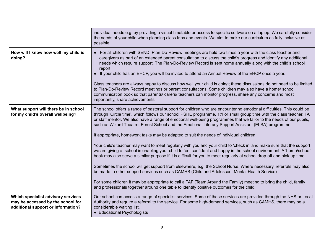|                                                                                                               | individual needs e.g. by providing a visual timetable or access to specific software on a laptop. We carefully consider<br>the needs of your child when planning class trips and events. We aim to make our curriculum as fully inclusive as<br>possible.                                                                                                                                                                                                                                                                                                                                                                                                                                                                                                                                                                                                                                                                                                                                                                                                                                                                                                                                                                                                                                                                                                                               |
|---------------------------------------------------------------------------------------------------------------|-----------------------------------------------------------------------------------------------------------------------------------------------------------------------------------------------------------------------------------------------------------------------------------------------------------------------------------------------------------------------------------------------------------------------------------------------------------------------------------------------------------------------------------------------------------------------------------------------------------------------------------------------------------------------------------------------------------------------------------------------------------------------------------------------------------------------------------------------------------------------------------------------------------------------------------------------------------------------------------------------------------------------------------------------------------------------------------------------------------------------------------------------------------------------------------------------------------------------------------------------------------------------------------------------------------------------------------------------------------------------------------------|
| How will I know how well my child is<br>doing?                                                                | • For all children with SEND, Plan-Do-Review meetings are held two times a year with the class teacher and<br>caregivers as part of an extended parent consultation to discuss the child's progress and identify any additional<br>needs which require support. The Plan-Do-Review Record is sent home annually along with the child's school<br>report;<br>If your child has an EHCP, you will be invited to attend an Annual Review of the EHCP once a year.<br>Class teachers are always happy to discuss how well your child is doing; these discussions do not need to be limited<br>to Plan-Do-Review Record meetings or parent consultations. Some children may also have a home/ school<br>communication book so that parents/ carers/ teachers can monitor progress, share any concerns and most<br>importantly, share achievements.                                                                                                                                                                                                                                                                                                                                                                                                                                                                                                                                           |
| What support will there be in school<br>for my child's overall wellbeing?                                     | The school offers a range of pastoral support for children who are encountering emotional difficulties. This could be<br>through 'Circle time', which follows our school PSHE programme, 1:1 or small group time with the class teacher, TA<br>or staff mentor. We also have a range of emotional well-being programmes that we tailor to the needs of our pupils,<br>such as Wizard Theatre, Forest School and the Emotional Literacy Support Assistant (ELSA) programme.<br>If appropriate, homework tasks may be adapted to suit the needs of individual children.<br>Your child's teacher may want to meet regularly with you and your child to 'check in' and make sure that the support<br>we are giving at school is enabling your child to feel confident and happy in the school environment. A 'home/school'<br>book may also serve a similar purpose if it is difficult for you to meet regularly at school drop-off and pick-up time.<br>Sometimes the school will get support from elsewhere, e.g. the School Nurse. Where necessary, referrals may also<br>be made to other support services such as CAMHS (Child and Adolescent Mental Health Service).<br>For some children it may be appropriate to call a TAF (Team Around the Family) meeting to bring the child, family<br>and professionals together around one table to identify positive outcomes for the child. |
| Which specialist advisory services<br>may be accessed by the school for<br>additional support or information? | Our school can access a range of specialist services. Some of these services are provided through the NHS or Local<br>Authority and require a referral to the service. For some high-demand services, such as CAMHS, there may be a<br>considerable waiting list.<br>• Educational Psychologists                                                                                                                                                                                                                                                                                                                                                                                                                                                                                                                                                                                                                                                                                                                                                                                                                                                                                                                                                                                                                                                                                        |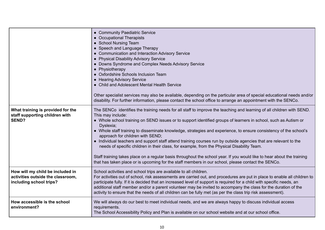|                                                                                                  | • Community Paediatric Service<br>• Occupational Therapists<br>• School Nursing Team<br>• Speech and Language Therapy<br>• Communication and Interaction Advisory Service<br>• Physical Disability Advisory Service<br>• Downs Syndrome and Complex Needs Advisory Service<br>• Physiotherapy<br>• Oxfordshire Schools Inclusion Team<br>• Hearing Advisory Service<br>• Child and Adolescent Mental Health Service<br>Other specialist services may also be available, depending on the particular area of special educational needs and/or<br>disability. For further information, please contact the school office to arrange an appointment with the SENCo.                                                                                                                                                                                                                       |
|--------------------------------------------------------------------------------------------------|---------------------------------------------------------------------------------------------------------------------------------------------------------------------------------------------------------------------------------------------------------------------------------------------------------------------------------------------------------------------------------------------------------------------------------------------------------------------------------------------------------------------------------------------------------------------------------------------------------------------------------------------------------------------------------------------------------------------------------------------------------------------------------------------------------------------------------------------------------------------------------------|
| What training is provided for the<br>staff supporting children with<br><b>SEND?</b>              | The SENCo identifies the training needs for all staff to improve the teaching and learning of all children with SEND.<br>This may include:<br>• Whole school training on SEND issues or to support identified groups of learners in school, such as Autism or<br>Dyslexia;<br>• Whole staff training to disseminate knowledge, strategies and experience, to ensure consistency of the school's<br>approach for children with SEND;<br>• Individual teachers and support staff attend training courses run by outside agencies that are relevant to the<br>needs of specific children in their class, for example, from the Physical Disability Team.<br>Staff training takes place on a regular basis throughout the school year. If you would like to hear about the training<br>that has taken place or is upcoming for the staff members in our school, please contact the SENCo. |
| How will my child be included in<br>activities outside the classroom,<br>including school trips? | School activities and school trips are available to all children.<br>For activities out of school, risk assessments are carried out, and procedures are put in place to enable all children to<br>participate fully. If it is decided that an increased level of support is required for a child with specific needs, an<br>additional staff member and/or a parent volunteer may be invited to accompany the class for the duration of the<br>activity to ensure that the needs of all children can be fully met (as per the class trip risk assessment).                                                                                                                                                                                                                                                                                                                            |
| How accessible is the school<br>environment?                                                     | We will always do our best to meet individual needs, and we are always happy to discuss individual access<br>requirements.<br>The School Accessibility Policy and Plan is available on our school website and at our school office.                                                                                                                                                                                                                                                                                                                                                                                                                                                                                                                                                                                                                                                   |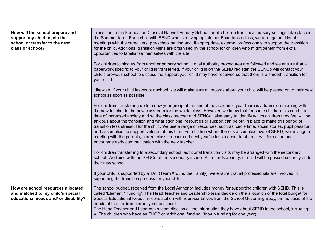| How will the school prepare and<br>support my child to join the<br>school or transfer to the next<br>class or school? | Transition to the Foundation Class at Harwell Primary School for all children from local nursery settings take place in<br>the Summer term. For a child with SEND who is moving up into our Foundation class, we arrange additional<br>meetings with the caregivers, pre-school setting and, if appropriate, external professionals to support the transition<br>for the child. Additional transition visits are organised by the school for children who might benefit from extra<br>opportunities to familiarise themselves with the site.                                                                                                                                                                                                                                                                                                                                                                   |
|-----------------------------------------------------------------------------------------------------------------------|----------------------------------------------------------------------------------------------------------------------------------------------------------------------------------------------------------------------------------------------------------------------------------------------------------------------------------------------------------------------------------------------------------------------------------------------------------------------------------------------------------------------------------------------------------------------------------------------------------------------------------------------------------------------------------------------------------------------------------------------------------------------------------------------------------------------------------------------------------------------------------------------------------------|
|                                                                                                                       | For children joining us from another primary school, Local Authority procedures are followed and we ensure that all<br>paperwork specific to your child is transferred. If your child is on the SEND register, the SENCo will contact your<br>child's previous school to discuss the support your child may have received so that there is a smooth transition for<br>your child.                                                                                                                                                                                                                                                                                                                                                                                                                                                                                                                              |
|                                                                                                                       | Likewise, if your child leaves our school, we will make sure all records about your child will be passed on to their new<br>school as soon as possible.                                                                                                                                                                                                                                                                                                                                                                                                                                                                                                                                                                                                                                                                                                                                                        |
|                                                                                                                       | For children transferring up to a new year group at the end of the academic year there is a transition morning with<br>the new teacher in the new classroom for the whole class. However, we know that for some children this can be a<br>time of increased anxiety and so the class teacher and SENCo liaise early to identify which children they feel will be<br>anxious about the transition and what additional resources or support can be put in place to make this period of<br>transition less stressful for the child. We use a range of resources, such as: circle time, social stories, pupil passport<br>and assemblies, to support children at this time. For children where there is a complex level of SEND, we arrange a<br>meeting with the parents, current class teacher and next year's class teacher to share key information and<br>encourage early communication with the new teacher. |
|                                                                                                                       | For children transferring to a secondary school, additional transition visits may be arranged with the secondary<br>school. We liaise with the SENCo at the secondary school. All records about your child will be passed securely on to<br>their new school.                                                                                                                                                                                                                                                                                                                                                                                                                                                                                                                                                                                                                                                  |
|                                                                                                                       | If your child is supported by a TAF (Team Around the Family), we ensure that all professionals are involved in<br>supporting the transition process for your child.                                                                                                                                                                                                                                                                                                                                                                                                                                                                                                                                                                                                                                                                                                                                            |
| How are school resources allocated<br>and matched to my child's special<br>educational needs and/ or disability?      | The school budget, received from the Local Authority, includes money for supporting children with SEND. This is<br>called 'Element 1 funding'. The Head Teacher and Leadership team decide on the allocation of the total budget for<br>Special Educational Needs, in consultation with representatives from the School Governing Body, on the basis of the<br>needs of the children currently in the school.<br>The Head Teacher and Leadership team discuss all the information they have about SEND in the school, including:<br>• The children who have an EHCP or 'additional funding' (top-up funding for one year);                                                                                                                                                                                                                                                                                     |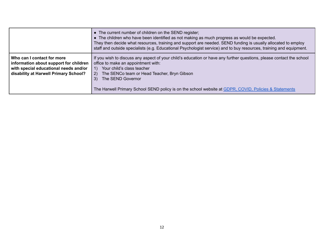|                                                                                                                                                        | • The current number of children on the SEND register;<br>• The children who have been identified as not making as much progress as would be expected.<br>They then decide what resources, training and support are needed. SEND funding is usually allocated to employ<br>staff and outside specialists (e.g. Educational Psychologist service) and to buy resources, training and equipment. |
|--------------------------------------------------------------------------------------------------------------------------------------------------------|------------------------------------------------------------------------------------------------------------------------------------------------------------------------------------------------------------------------------------------------------------------------------------------------------------------------------------------------------------------------------------------------|
| Who can I contact for more<br>information about support for children<br>with special educational needs and/or<br>disability at Harwell Primary School? | If you wish to discuss any aspect of your child's education or have any further questions, please contact the school<br>office to make an appointment with:<br>Your child's class teacher<br>1)<br>The SENCo team or Head Teacher, Bryn Gibson<br>2)<br>The SEND Governor<br>3)<br>The Harwell Primary School SEND policy is on the school website at GDPR, COVID, Policies & Statements       |